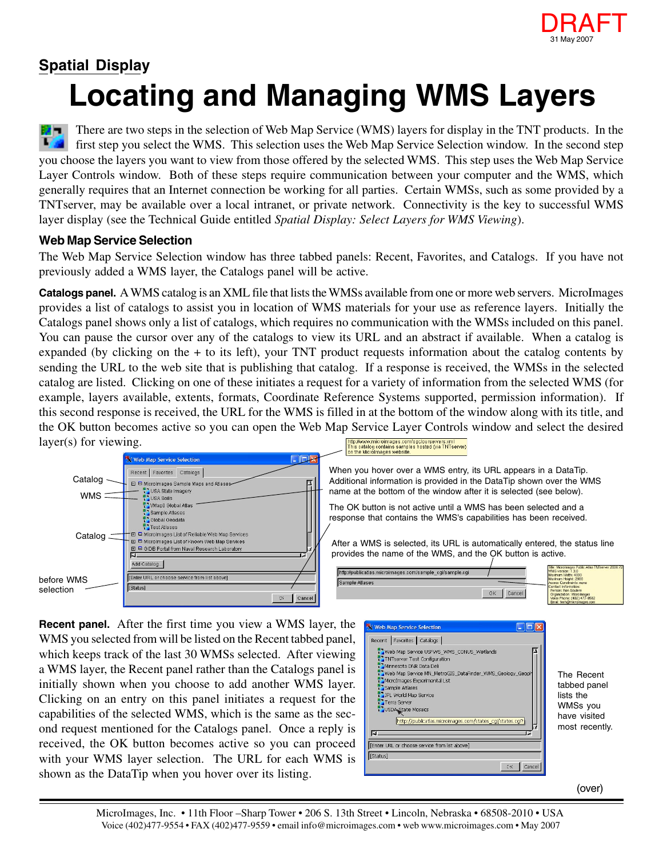

## **Locating and Managing WMS Layers Spatial Display**

There are two steps in the selection of Web Map Service (WMS) layers for display in the TNT products. In the M first step you select the WMS. This selection uses the Web Map Service Selection window. In the second step you choose the layers you want to view from those offered by the selected WMS. This step uses the Web Map Service Layer Controls window. Both of these steps require communication between your computer and the WMS, which generally requires that an Internet connection be working for all parties. Certain WMSs, such as some provided by a TNTserver, may be available over a local intranet, or private network. Connectivity is the key to successful WMS layer display (see the Technical Guide entitled *Spatial Display: Select Layers for WMS Viewing*).

## **Web Map Service Selection**

The Web Map Service Selection window has three tabbed panels: Recent, Favorites, and Catalogs. If you have not previously added a WMS layer, the Catalogs panel will be active.

**Catalogs panel.** A WMS catalog is an XML file that lists the WMSs available from one or more web servers. MicroImages provides a list of catalogs to assist you in location of WMS materials for your use as reference layers. Initially the Catalogs panel shows only a list of catalogs, which requires no communication with the WMSs included on this panel. You can pause the cursor over any of the catalogs to view its URL and an abstract if available. When a catalog is expanded (by clicking on the + to its left), your TNT product requests information about the catalog contents by sending the URL to the web site that is publishing that catalog. If a response is received, the WMSs in the selected catalog are listed. Clicking on one of these initiates a request for a variety of information from the selected WMS (for example, layers available, extents, formats, Coordinate Reference Systems supported, permission information). If this second response is received, the URL for the WMS is filled in at the bottom of the window along with its title, and the OK button becomes active so you can open the Web Map Service Layer Controls window and select the desired layer(s) for viewing.



http://www.microimages.com/ogc/ourservers.xml<br>This catalog contains samples hosted (via TNTserver)<br>on the Microlmages website.

When you hover over a WMS entry, its URL appears in a DataTip. Additional information is provided in the DataTip shown over the WMS name at the bottom of the window after it is selected (see below).

The OK button is not active until a WMS has been selected and a response that contains the WMS's capabilities has been received.

After a WMS is selected, its URL is automatically entered, the status line provides the name of the WMS, and the OK button is active.

| http://publicatlas.microimages.com/sample_cgi/sample.cgi |              | Title: Microlmages Public Atlas TNTserver 2006:72<br>WMS version: 1.3.0<br>Maximum Width: 4000 |
|----------------------------------------------------------|--------------|------------------------------------------------------------------------------------------------|
| Sample Atlases                                           |              | Maximum Height: 2000<br>Access Constraints: none<br>Contact Information:                       |
|                                                          | OK<br>Cancel | Person: Bon Soutere<br><b>Organization: Microlmages</b><br>Voice Phone: (402) 477-9562         |
|                                                          |              | Email: tach@microimages com                                                                    |

**Recent panel.** After the first time you view a WMS layer, the WMS you selected from will be listed on the Recent tabbed panel, which keeps track of the last 30 WMSs selected. After viewing a WMS layer, the Recent panel rather than the Catalogs panel is initially shown when you choose to add another WMS layer. Clicking on an entry on this panel initiates a request for the capabilities of the selected WMS, which is the same as the second request mentioned for the Catalogs panel. Once a reply is received, the OK button becomes active so you can proceed with your WMS layer selection. The URL for each WMS is shown as the DataTip when you hover over its listing.



The Recent tabbed panel lists the WMSs you have visited most recently.

(over)